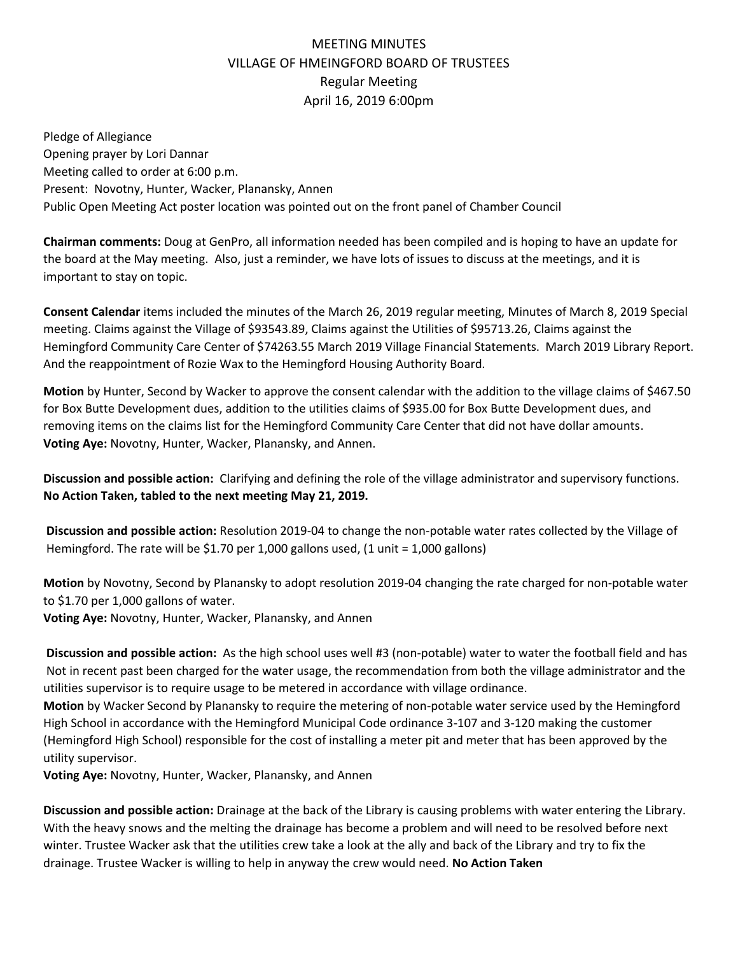## MEETING MINUTES VILLAGE OF HMEINGFORD BOARD OF TRUSTEES Regular Meeting April 16, 2019 6:00pm

Pledge of Allegiance Opening prayer by Lori Dannar Meeting called to order at 6:00 p.m. Present: Novotny, Hunter, Wacker, Planansky, Annen Public Open Meeting Act poster location was pointed out on the front panel of Chamber Council

**Chairman comments:** Doug at GenPro, all information needed has been compiled and is hoping to have an update for the board at the May meeting. Also, just a reminder, we have lots of issues to discuss at the meetings, and it is important to stay on topic.

**Consent Calendar** items included the minutes of the March 26, 2019 regular meeting, Minutes of March 8, 2019 Special meeting. Claims against the Village of \$93543.89, Claims against the Utilities of \$95713.26, Claims against the Hemingford Community Care Center of \$74263.55 March 2019 Village Financial Statements. March 2019 Library Report. And the reappointment of Rozie Wax to the Hemingford Housing Authority Board.

**Motion** by Hunter, Second by Wacker to approve the consent calendar with the addition to the village claims of \$467.50 for Box Butte Development dues, addition to the utilities claims of \$935.00 for Box Butte Development dues, and removing items on the claims list for the Hemingford Community Care Center that did not have dollar amounts. **Voting Aye:** Novotny, Hunter, Wacker, Planansky, and Annen.

**Discussion and possible action:** Clarifying and defining the role of the village administrator and supervisory functions. **No Action Taken, tabled to the next meeting May 21, 2019.**

**Discussion and possible action:** Resolution 2019-04 to change the non-potable water rates collected by the Village of Hemingford. The rate will be \$1.70 per 1,000 gallons used, (1 unit = 1,000 gallons)

**Motion** by Novotny, Second by Planansky to adopt resolution 2019-04 changing the rate charged for non-potable water to \$1.70 per 1,000 gallons of water.

**Voting Aye:** Novotny, Hunter, Wacker, Planansky, and Annen

**Discussion and possible action:** As the high school uses well #3 (non-potable) water to water the football field and has Not in recent past been charged for the water usage, the recommendation from both the village administrator and the utilities supervisor is to require usage to be metered in accordance with village ordinance.

**Motion** by Wacker Second by Planansky to require the metering of non-potable water service used by the Hemingford High School in accordance with the Hemingford Municipal Code ordinance 3-107 and 3-120 making the customer (Hemingford High School) responsible for the cost of installing a meter pit and meter that has been approved by the utility supervisor.

**Voting Aye:** Novotny, Hunter, Wacker, Planansky, and Annen

**Discussion and possible action:** Drainage at the back of the Library is causing problems with water entering the Library. With the heavy snows and the melting the drainage has become a problem and will need to be resolved before next winter. Trustee Wacker ask that the utilities crew take a look at the ally and back of the Library and try to fix the drainage. Trustee Wacker is willing to help in anyway the crew would need. **No Action Taken**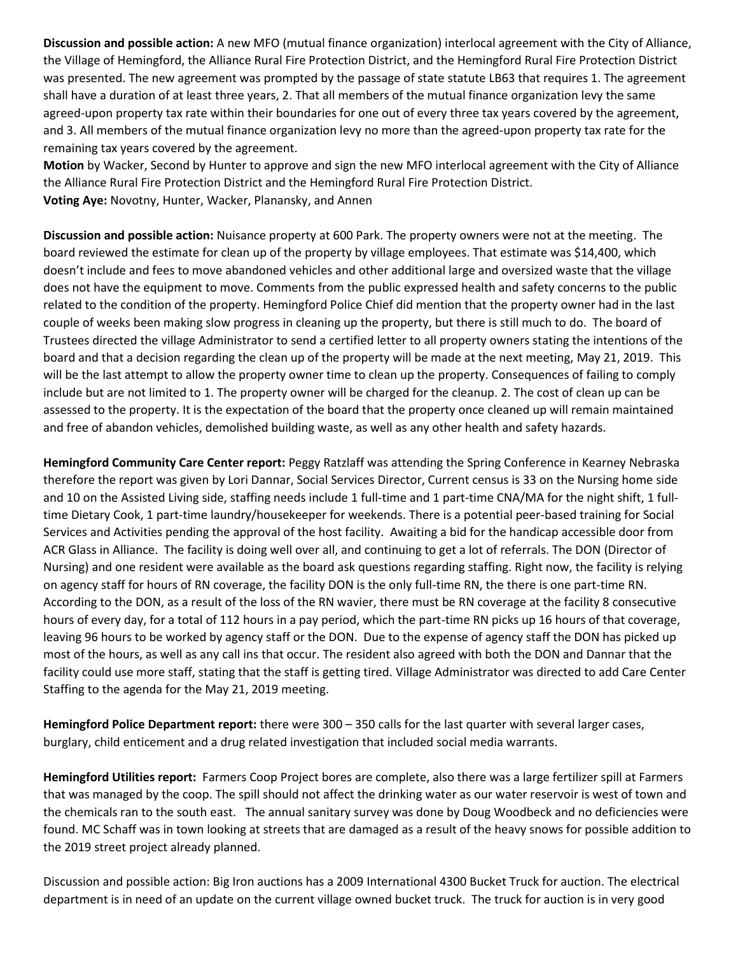**Discussion and possible action:** A new MFO (mutual finance organization) interlocal agreement with the City of Alliance, the Village of Hemingford, the Alliance Rural Fire Protection District, and the Hemingford Rural Fire Protection District was presented. The new agreement was prompted by the passage of state statute LB63 that requires 1. The agreement shall have a duration of at least three years, 2. That all members of the mutual finance organization levy the same agreed-upon property tax rate within their boundaries for one out of every three tax years covered by the agreement, and 3. All members of the mutual finance organization levy no more than the agreed-upon property tax rate for the remaining tax years covered by the agreement.

**Motion** by Wacker, Second by Hunter to approve and sign the new MFO interlocal agreement with the City of Alliance the Alliance Rural Fire Protection District and the Hemingford Rural Fire Protection District. **Voting Aye:** Novotny, Hunter, Wacker, Planansky, and Annen

**Discussion and possible action:** Nuisance property at 600 Park. The property owners were not at the meeting. The board reviewed the estimate for clean up of the property by village employees. That estimate was \$14,400, which doesn't include and fees to move abandoned vehicles and other additional large and oversized waste that the village does not have the equipment to move. Comments from the public expressed health and safety concerns to the public related to the condition of the property. Hemingford Police Chief did mention that the property owner had in the last couple of weeks been making slow progress in cleaning up the property, but there is still much to do. The board of Trustees directed the village Administrator to send a certified letter to all property owners stating the intentions of the board and that a decision regarding the clean up of the property will be made at the next meeting, May 21, 2019. This will be the last attempt to allow the property owner time to clean up the property. Consequences of failing to comply include but are not limited to 1. The property owner will be charged for the cleanup. 2. The cost of clean up can be assessed to the property. It is the expectation of the board that the property once cleaned up will remain maintained and free of abandon vehicles, demolished building waste, as well as any other health and safety hazards.

**Hemingford Community Care Center report:** Peggy Ratzlaff was attending the Spring Conference in Kearney Nebraska therefore the report was given by Lori Dannar, Social Services Director, Current census is 33 on the Nursing home side and 10 on the Assisted Living side, staffing needs include 1 full-time and 1 part-time CNA/MA for the night shift, 1 fulltime Dietary Cook, 1 part-time laundry/housekeeper for weekends. There is a potential peer-based training for Social Services and Activities pending the approval of the host facility. Awaiting a bid for the handicap accessible door from ACR Glass in Alliance. The facility is doing well over all, and continuing to get a lot of referrals. The DON (Director of Nursing) and one resident were available as the board ask questions regarding staffing. Right now, the facility is relying on agency staff for hours of RN coverage, the facility DON is the only full-time RN, the there is one part-time RN. According to the DON, as a result of the loss of the RN wavier, there must be RN coverage at the facility 8 consecutive hours of every day, for a total of 112 hours in a pay period, which the part-time RN picks up 16 hours of that coverage, leaving 96 hours to be worked by agency staff or the DON. Due to the expense of agency staff the DON has picked up most of the hours, as well as any call ins that occur. The resident also agreed with both the DON and Dannar that the facility could use more staff, stating that the staff is getting tired. Village Administrator was directed to add Care Center Staffing to the agenda for the May 21, 2019 meeting.

**Hemingford Police Department report:** there were 300 – 350 calls for the last quarter with several larger cases, burglary, child enticement and a drug related investigation that included social media warrants.

**Hemingford Utilities report:** Farmers Coop Project bores are complete, also there was a large fertilizer spill at Farmers that was managed by the coop. The spill should not affect the drinking water as our water reservoir is west of town and the chemicals ran to the south east. The annual sanitary survey was done by Doug Woodbeck and no deficiencies were found. MC Schaff was in town looking at streets that are damaged as a result of the heavy snows for possible addition to the 2019 street project already planned.

Discussion and possible action: Big Iron auctions has a 2009 International 4300 Bucket Truck for auction. The electrical department is in need of an update on the current village owned bucket truck. The truck for auction is in very good